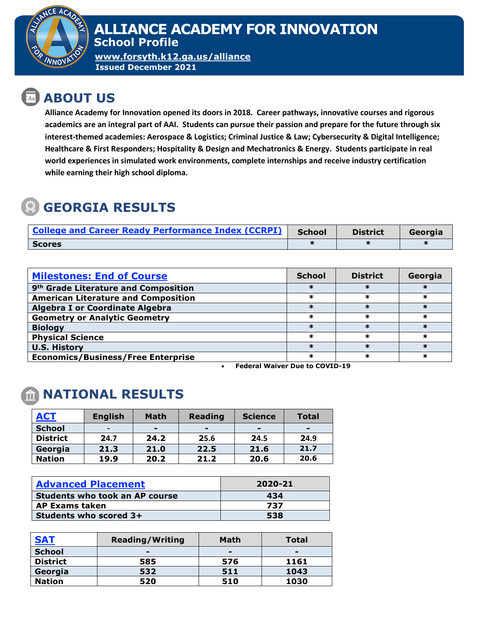

#### **ALLIANCE ACADEMY FOR INNOVATION School Profile**

**[www.forsyth.k12.ga.us/alliance](http://www.forsyth.k12.ga.us/alliance) Issued December 2021**

# **ABOUT US**

**Alliance Academy for Innovation opened its doors in 2018. Career pathways, innovative courses and rigorous academics are an integral part of AAI. Students can pursue their passion and prepare for the future through six interest-themed academies: Aerospace & Logistics; Criminal Justice & Law; Cybersecurity & Digital Intelligence; Healthcare & First Responders; Hospitality & Design and Mechatronics & Energy. Students participate in real world experiences in simulated work environments, complete internships and receive industry certification while earning their high school diploma.**

# **GEORGIA RESULTS**

| <b>College and Career Ready Performance Index (CCRPI)</b> | <b>School</b> | <b>District</b> | Georgia |
|-----------------------------------------------------------|---------------|-----------------|---------|
| <b>Scores</b>                                             |               |                 |         |

| <b>Milestones: End of Course</b>                 | <b>School</b> | <b>District</b> | Georgia |
|--------------------------------------------------|---------------|-----------------|---------|
| 9 <sup>th</sup> Grade Literature and Composition |               |                 |         |
| <b>American Literature and Composition</b>       |               |                 |         |
| <b>Algebra I or Coordinate Algebra</b>           |               |                 |         |
| <b>Geometry or Analytic Geometry</b>             | ж             |                 | ж       |
| <b>Biology</b>                                   |               |                 |         |
| <b>Physical Science</b>                          |               |                 | ж       |
| <b>U.S. History</b>                              |               |                 |         |
| <b>Economics/Business/Free Enterprise</b>        |               |                 |         |

• **Federal Waiver Due to COVID-19**

# **NATIONAL RESULTS**

| <b>ACT</b>      | <b>English</b>           | <b>Math</b>              | <b>Reading</b> | <b>Science</b> | <b>Total</b>   |
|-----------------|--------------------------|--------------------------|----------------|----------------|----------------|
| <b>School</b>   | $\overline{\phantom{0}}$ | $\overline{\phantom{0}}$ | -              | -              | $\blacksquare$ |
| <b>District</b> | 24.7                     | 24.2                     | 25.6           | 24.5           | 24.9           |
| Georgia         | 21.3                     | 21.0                     | 22.5           | 21.6           | 21.7           |
| <b>Nation</b>   | 19.9                     | 20.2                     | 21.2           | 20.6           | 20.6           |

| <b>Advanced Placement</b>             | 2020-21 |  |  |
|---------------------------------------|---------|--|--|
| <b>Students who took an AP course</b> | 434     |  |  |
| <b>AP Exams taken</b>                 | 737     |  |  |
| Students who scored 3+                | 538     |  |  |

| <b>SAT</b>      | <b>Reading/Writing</b> | Math           | <b>Total</b> |
|-----------------|------------------------|----------------|--------------|
| <b>School</b>   | $\blacksquare$         | $\blacksquare$ | $\equiv$     |
| <b>District</b> | 585                    | 576            | 1161         |
| Georgia         | 532                    | 511            | 1043         |
| <b>Nation</b>   | 520                    | 510            | 1030         |